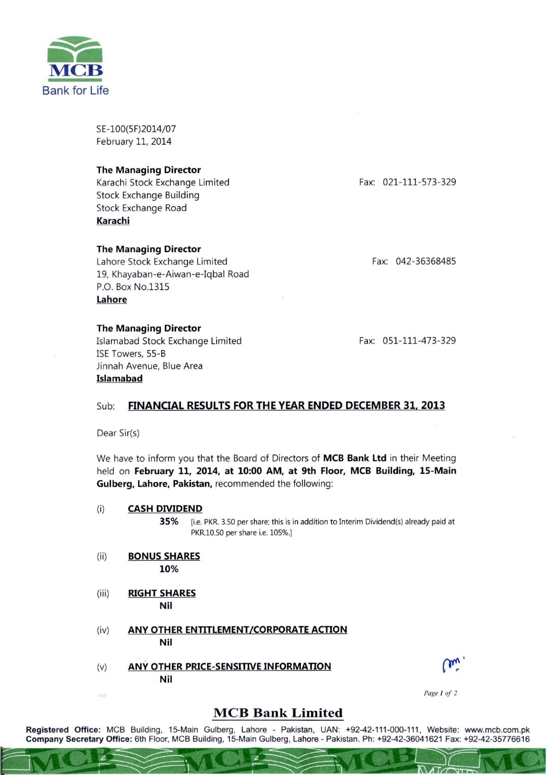

SE-100(SF)2014/07 February 11, 2014

## The Managing Director

Karachi Stock Exchange Limited Stock Exchange Building Stock Exchange Road Karachi

## The Managing Director

Lahore Stock Exchange Limited 19, Khayaban-e-Aiwan-e-Iqbal Road P.O. Box No.131S Lahore

## The Managing Director

Islamabad Stock Exchange Limited ISE Towers, SS-B Jinnah Avenue, Blue Area Islamabad

Fax: 021-111-573-329

Fax: 042-3636848S

Fax: 051-111-473-329

# Sub: FINANCIAL RESULTS FOR THE YEAR ENDED DECEMBER 31, 2013

Dear Sir(s)

We have to inform you that the Board of Directors of MCB Bank Ltd in their Meeting held on February 11, 2014, at 10:00 AM, at 9th Floor, MCB Building, 15-Main Gulberg, Lahore, Pakistan, recommended the following:

### (i) CASH DIVIDEND

35% [i.e. PKR. 3.50 per share; this is in addition to Interim Dividend(s) already paid at PKR.1O.50 per share i.e. 105%.)

- (ii) BONUS SHARES 10%
- (iii) RIGHT SHARES Nil

ENZ

- (iv) ANY OTHER ENTITLEMENT/CORPORATE ACTION Nil
- (v) ANY OTHER PRICE-SENSITIVE INFORMATION Nil



 $\mathbf{a}$ 

14 F

#### *Page I of 2*

## **MCB Bank Limited**

Registered Office: MCB Building, 15-Main Gulberg, Lahore - Pakistan, UAN: +92-42-111-000-111, Website: www.mcb.com.pk Company Secretary Office: 6th Floor, MCB Building, 15-Main Gulberg, Lahore - Pakistan. Ph: +92-42-36041621 Fax: +92-42-35776616  $\subseteq$   $\mathbb{N}$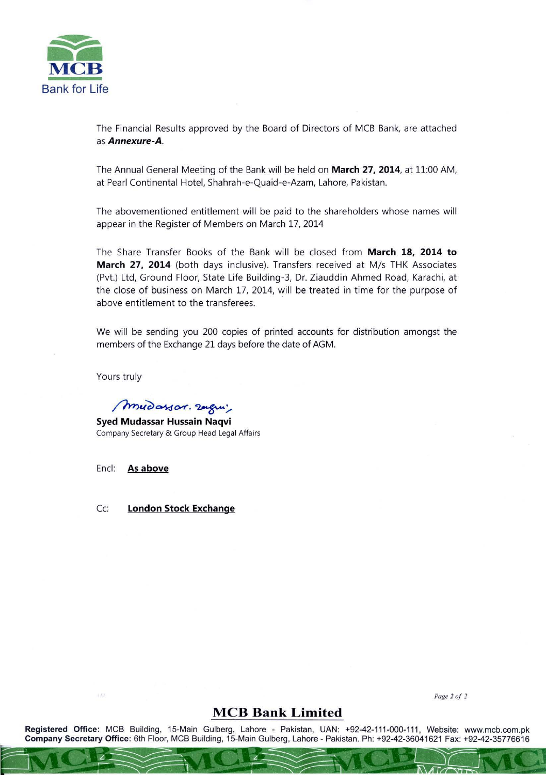

The Financial Results approved by the Board of Directors of MCB Bank, are attached as Annexure-A.

The Annual General Meeting of the Bank will be held on March 27, 2014, at 11:00 AM, at Pearl Continental Hotel, Shahrah-e-Quaid-e-Azam, Lahore, Pakistan.

The abovementioned entitlement will be paid to the shareholders whose names will appear in the Register of Members on March 17, 2014

The Share Transfer Books of the Bank will be closed from March 18, 2014 to March 27, 2014 (both days inclusive). Transfers received at M/s THK Associates (Pvt.) Ltd, Ground Floor, State Life Building-3, Dr. Ziauddin Ahmed Road, Karachi, at the close of business on March 17, 2014, will be treated in time for the purpose of above entitlement to the transferees.

We will be sending you 200 copies of printed accounts for distribution amongst the members of the Exchange 21 days before the date of AGM.

Yours truly

mudassor. 2agui,

Syed Mudassar Hussain Naqvi Company Secretary & Group Head Legal Affairs

Encl: As above

Cc: London Stock Exchange

*Page 2 0f 2* 

# **MCB Bank Limited**

Registered Office: MCB Building, 15-Main Gulberg, Lahore - Pakistan, UAN: +92-42-111-000-111 , Website: www.mcb.com.pk Company Secretary Office: 6th Floor, MCB Building, 15-Main Gulberg, Lahore - Pakistan. Ph: +92-42-36041621 Fax: +92-42-35776616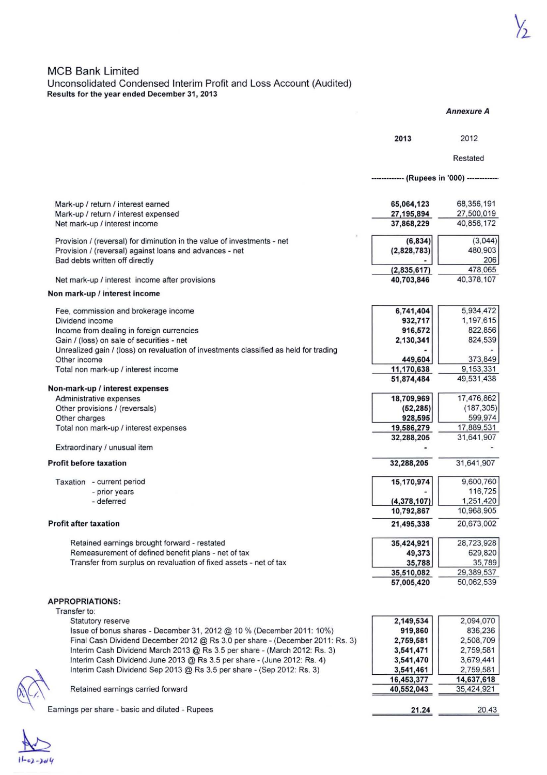## **MCB Bank Limited** Unconsolidated Condensed Interim Profit and Loss Account (Audited) **Results for the year ended December 31 . 2013**

|                                                                                                       |                                             | <b>Annexure A</b>        |
|-------------------------------------------------------------------------------------------------------|---------------------------------------------|--------------------------|
|                                                                                                       | 2013                                        | 2012                     |
|                                                                                                       |                                             | Restated                 |
|                                                                                                       | ------------- (Rupees in '000) ------------ |                          |
|                                                                                                       |                                             |                          |
| Mark-up / return / interest earned<br>Mark-up / return / interest expensed                            | 65,064,123<br>27, 195, 894                  | 68,356,191<br>27,500,019 |
| Net mark-up / interest income                                                                         | 37,868,229                                  | 40,856,172               |
|                                                                                                       |                                             |                          |
| Provision / (reversal) for diminution in the value of investments - net                               | (6, 834)                                    | (3,044)                  |
| Provision / (reversal) against loans and advances - net                                               | (2,828,783)                                 | 480,903<br>206           |
| Bad debts written off directly                                                                        | (2,835,617)                                 | 478,065                  |
| Net mark-up / interest income after provisions                                                        | 40,703,846                                  | 40,378,107               |
| Non mark-up / interest income                                                                         |                                             |                          |
| Fee, commission and brokerage income                                                                  | 6,741,404                                   | 5,934,472                |
| Dividend income                                                                                       | 932,717                                     | 1,197,615                |
| Income from dealing in foreign currencies                                                             | 916,572                                     | 822,856                  |
| Gain / (loss) on sale of securities - net                                                             | 2,130,341                                   | 824,539                  |
| Unrealized gain / (loss) on revaluation of investments classified as held for trading<br>Other income | 449,604                                     | 373,849                  |
| Total non mark-up / interest income                                                                   | 11,170,638                                  | 9,153,331                |
|                                                                                                       | 51,874,484                                  | 49,531,438               |
| Non-mark-up / interest expenses                                                                       |                                             |                          |
| Administrative expenses                                                                               | 18,709,969                                  | 17,476,862               |
| Other provisions / (reversals)                                                                        | (52, 285)                                   | (187, 305)               |
| Other charges                                                                                         | 928,595                                     | 599,974<br>17,889,531    |
| Total non mark-up / interest expenses                                                                 | 19,586,279<br>32,288,205                    | 31,641,907               |
| Extraordinary / unusual item                                                                          |                                             |                          |
| <b>Profit before taxation</b>                                                                         | 32,288,205                                  | 31,641,907               |
| Taxation - current period                                                                             | 15,170,974                                  | 9,600,760                |
| - prior years                                                                                         |                                             | 116,725                  |
| - deferred                                                                                            | (4, 378, 107)                               | 1,251,420                |
|                                                                                                       | 10,792,867                                  | 10,968,905               |
| <b>Profit after taxation</b>                                                                          | 21,495,338                                  | 20,673,002               |
| Retained earnings brought forward - restated                                                          | 35,424,921                                  | 28,723,928               |
| Remeasurement of defined benefit plans - net of tax                                                   | 49,373                                      | 629,820                  |
| Transfer from surplus on revaluation of fixed assets - net of tax                                     | 35,788                                      | 35,789                   |
|                                                                                                       | 35,510,082<br>57,005,420                    | 29,389,537<br>50,062,539 |
|                                                                                                       |                                             |                          |
| <b>APPROPRIATIONS:</b>                                                                                |                                             |                          |
| Transfer to:                                                                                          | 2,149,534                                   | 2,094,070                |
| Statutory reserve<br>Issue of bonus shares - December 31, 2012 @ 10 % (December 2011: 10%)            | 919,860                                     | 836,236                  |
| Final Cash Dividend December 2012 @ Rs 3.0 per share - (December 2011: Rs. 3)                         | 2,759,581                                   | 2,508,709                |
| Interim Cash Dividend March 2013 @ Rs 3.5 per share - (March 2012: Rs. 3)                             | 3,541,471                                   | 2,759,581                |
| Interim Cash Dividend June 2013 @ Rs 3.5 per share - (June 2012: Rs. 4)                               | 3,541,470                                   | 3,679,441                |
| Interim Cash Dividend Sep 2013 @ Rs 3.5 per share - (Sep 2012: Rs. 3)                                 | 3,541,461                                   | 2,759,581                |
|                                                                                                       | 16,453,377                                  | 14,637,618               |
| Retained earnings carried forward                                                                     | 40,552,043                                  | 35,424,921               |
| Earnings per share - basic and diluted - Rupees                                                       | 21.24                                       | 20.43                    |
|                                                                                                       |                                             |                          |